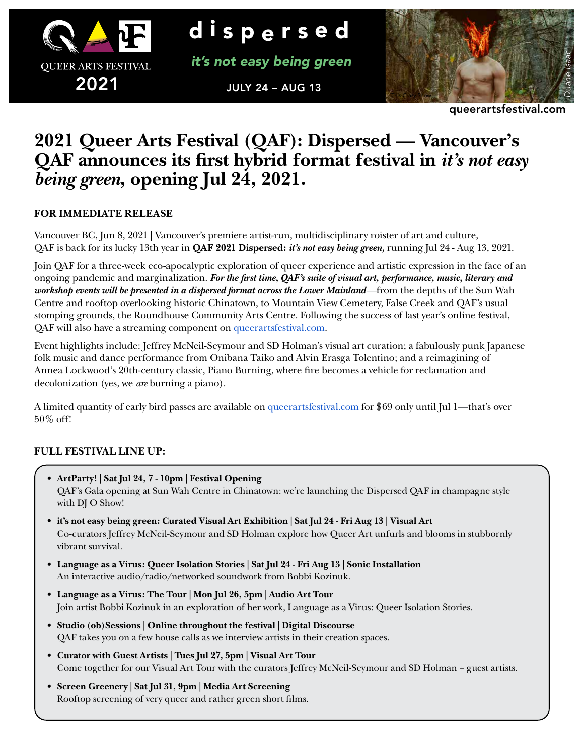

d ispersed

*it's not easy being green*

JULY 24 – AUG 13



queerartsfestival.com

# **2021 Queer Arts Festival (QAF): Dispersed — Vancouver's QAF announces its first hybrid format festival in** *it's not easy being green***, opening Jul 24, 2021.**

## **FOR IMMEDIATE RELEASE**

Vancouver BC, Jun 8, 2021 **|** Vancouver's premiere artist-run, multidisciplinary roister of art and culture, QAF is back for its lucky 13th year in **QAF 2021 Dispersed:** *it's not easy being green,* running Jul 24 - Aug 13, 2021.

Join QAF for a three-week eco-apocalyptic exploration of queer experience and artistic expression in the face of an ongoing pandemic and marginalization. *For the first time, QAF's suite of visual art, performance, music, literary and workshop events will be presented in a dispersed format across the Lower Mainland—*from the depths of the Sun Wah Centre and rooftop overlooking historic Chinatown, to Mountain View Cemetery, False Creek and QAF's usual stomping grounds, the Roundhouse Community Arts Centre. Following the success of last year's online festival, QAF will also have a streaming component on queerartsfestival.com.

Event highlights include: Jeffrey McNeil-Seymour and SD Holman's visual art curation; a fabulously punk Japanese folk music and dance performance from Onibana Taiko and Alvin Erasga Tolentino; and a reimagining of Annea Lockwood's 20th-century classic, Piano Burning, where fire becomes a vehicle for reclamation and decolonization (yes, we *are* burning a piano).

A limited quantity of early bird passes are available on queerartsfestival.com for \$69 only until Jul 1*—*that's over 50% off!

## **FULL FESTIVAL LINE UP:**

- **• ArtParty! | Sat Jul 24, 7 10pm | Festival Opening** QAF's Gala opening at Sun Wah Centre in Chinatown: we're launching the Dispersed QAF in champagne style with DJ O Show!
- **• it's not easy being green: Curated Visual Art Exhibition | Sat Jul 24 Fri Aug 13 | Visual Art** Co-curators Jeffrey McNeil-Seymour and SD Holman explore how Queer Art unfurls and blooms in stubbornly vibrant survival.
- **• Language as a Virus: Queer Isolation Stories | Sat Jul 24 Fri Aug 13 | Sonic Installation** An interactive audio/radio/networked soundwork from Bobbi Kozinuk.
- **• Language as a Virus: The Tour | Mon Jul 26, 5pm | Audio Art Tour** Join artist Bobbi Kozinuk in an exploration of her work, Language as a Virus: Queer Isolation Stories.
- **• Studio (ob)Sessions | Online throughout the festival | Digital Discourse** QAF takes you on a few house calls as we interview artists in their creation spaces.
- **• Curator with Guest Artists | Tues Jul 27, 5pm | Visual Art Tour** Come together for our Visual Art Tour with the curators Jeffrey McNeil-Seymour and SD Holman + guest artists.
- **• Screen Greenery | Sat Jul 31, 9pm | Media Art Screening** Rooftop screening of very queer and rather green short films.